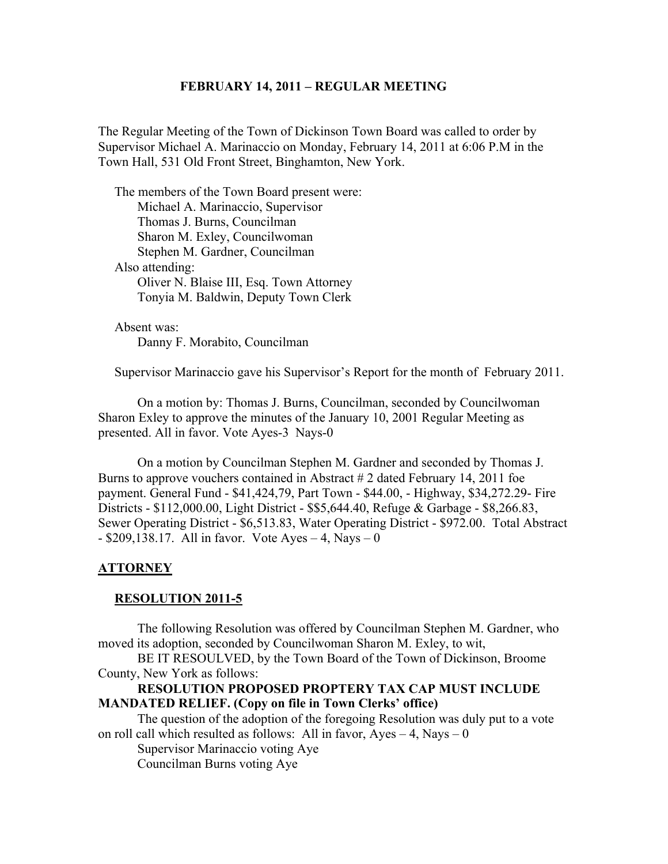### **FEBRUARY 14, 2011 – REGULAR MEETING**

The Regular Meeting of the Town of Dickinson Town Board was called to order by Supervisor Michael A. Marinaccio on Monday, February 14, 2011 at 6:06 P.M in the Town Hall, 531 Old Front Street, Binghamton, New York.

 The members of the Town Board present were: Michael A. Marinaccio, Supervisor Thomas J. Burns, Councilman Sharon M. Exley, Councilwoman Stephen M. Gardner, Councilman Also attending: Oliver N. Blaise III, Esq. Town Attorney Tonyia M. Baldwin, Deputy Town Clerk

 Absent was: Danny F. Morabito, Councilman

Supervisor Marinaccio gave his Supervisor's Report for the month of February 2011.

On a motion by: Thomas J. Burns, Councilman, seconded by Councilwoman Sharon Exley to approve the minutes of the January 10, 2001 Regular Meeting as presented. All in favor. Vote Ayes-3 Nays-0

On a motion by Councilman Stephen M. Gardner and seconded by Thomas J. Burns to approve vouchers contained in Abstract # 2 dated February 14, 2011 foe payment. General Fund - \$41,424,79, Part Town - \$44.00, - Highway, \$34,272.29- Fire Districts - \$112,000.00, Light District - \$\$5,644.40, Refuge & Garbage - \$8,266.83, Sewer Operating District - \$6,513.83, Water Operating District - \$972.00. Total Abstract  $-$  \$209,138.17. All in favor. Vote Ayes  $-$  4, Nays  $-$  0

#### **ATTORNEY**

#### **RESOLUTION 2011-5**

The following Resolution was offered by Councilman Stephen M. Gardner, who moved its adoption, seconded by Councilwoman Sharon M. Exley, to wit,

BE IT RESOULVED, by the Town Board of the Town of Dickinson, Broome County, New York as follows:

### **RESOLUTION PROPOSED PROPTERY TAX CAP MUST INCLUDE MANDATED RELIEF. (Copy on file in Town Clerks' office)**

The question of the adoption of the foregoing Resolution was duly put to a vote on roll call which resulted as follows: All in favor,  $Ayes - 4$ , Nays – 0 Supervisor Marinaccio voting Aye Councilman Burns voting Aye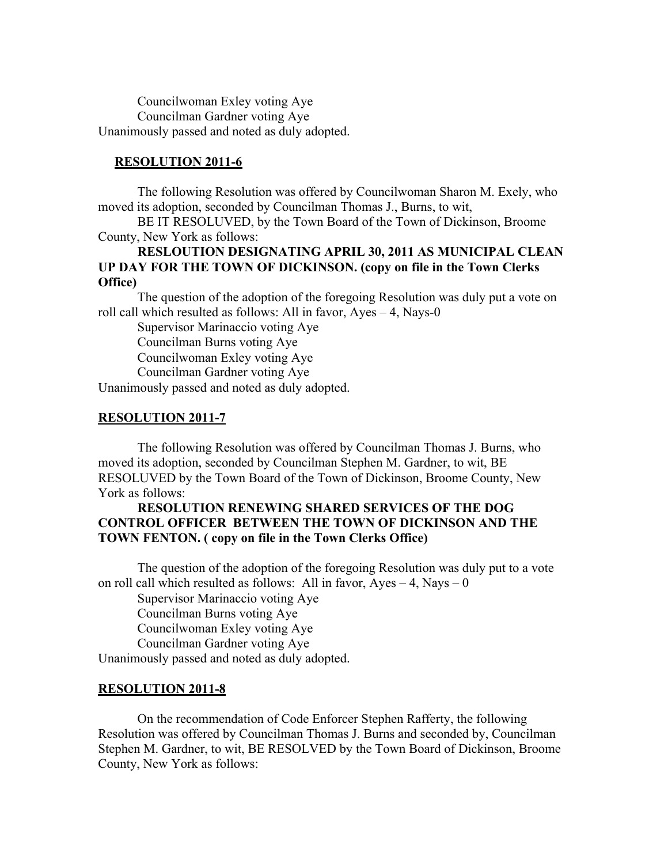Councilwoman Exley voting Aye Councilman Gardner voting Aye Unanimously passed and noted as duly adopted.

### **RESOLUTION 2011-6**

The following Resolution was offered by Councilwoman Sharon M. Exely, who moved its adoption, seconded by Councilman Thomas J., Burns, to wit,

BE IT RESOLUVED, by the Town Board of the Town of Dickinson, Broome County, New York as follows:

## **RESLOUTION DESIGNATING APRIL 30, 2011 AS MUNICIPAL CLEAN UP DAY FOR THE TOWN OF DICKINSON. (copy on file in the Town Clerks Office)**

The question of the adoption of the foregoing Resolution was duly put a vote on roll call which resulted as follows: All in favor, Ayes – 4, Nays-0

Supervisor Marinaccio voting Aye

Councilman Burns voting Aye

Councilwoman Exley voting Aye

Councilman Gardner voting Aye

Unanimously passed and noted as duly adopted.

#### **RESOLUTION 2011-7**

The following Resolution was offered by Councilman Thomas J. Burns, who moved its adoption, seconded by Councilman Stephen M. Gardner, to wit, BE RESOLUVED by the Town Board of the Town of Dickinson, Broome County, New York as follows:

## **RESOLUTION RENEWING SHARED SERVICES OF THE DOG CONTROL OFFICER BETWEEN THE TOWN OF DICKINSON AND THE TOWN FENTON. ( copy on file in the Town Clerks Office)**

The question of the adoption of the foregoing Resolution was duly put to a vote on roll call which resulted as follows: All in favor,  $Ayes - 4$ ,  $Nays - 0$ 

Supervisor Marinaccio voting Aye Councilman Burns voting Aye Councilwoman Exley voting Aye Councilman Gardner voting Aye

Unanimously passed and noted as duly adopted.

### **RESOLUTION 2011-8**

On the recommendation of Code Enforcer Stephen Rafferty, the following Resolution was offered by Councilman Thomas J. Burns and seconded by, Councilman Stephen M. Gardner, to wit, BE RESOLVED by the Town Board of Dickinson, Broome County, New York as follows: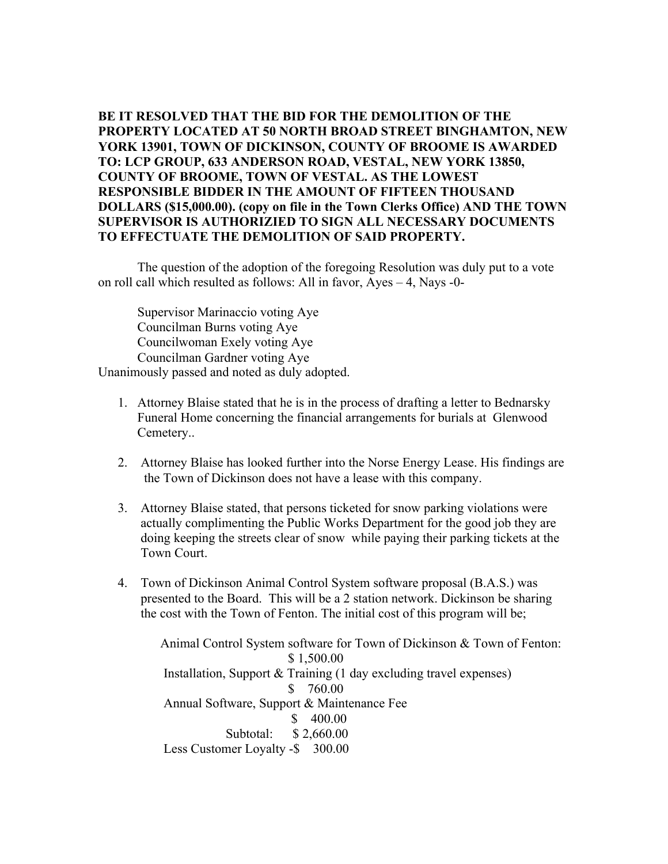**BE IT RESOLVED THAT THE BID FOR THE DEMOLITION OF THE PROPERTY LOCATED AT 50 NORTH BROAD STREET BINGHAMTON, NEW YORK 13901, TOWN OF DICKINSON, COUNTY OF BROOME IS AWARDED TO: LCP GROUP, 633 ANDERSON ROAD, VESTAL, NEW YORK 13850, COUNTY OF BROOME, TOWN OF VESTAL. AS THE LOWEST RESPONSIBLE BIDDER IN THE AMOUNT OF FIFTEEN THOUSAND DOLLARS (\$15,000.00). (copy on file in the Town Clerks Office) AND THE TOWN SUPERVISOR IS AUTHORIZIED TO SIGN ALL NECESSARY DOCUMENTS TO EFFECTUATE THE DEMOLITION OF SAID PROPERTY.**

The question of the adoption of the foregoing Resolution was duly put to a vote on roll call which resulted as follows: All in favor, Ayes – 4, Nays -0-

Supervisor Marinaccio voting Aye Councilman Burns voting Aye Councilwoman Exely voting Aye Councilman Gardner voting Aye

Unanimously passed and noted as duly adopted.

- 1. Attorney Blaise stated that he is in the process of drafting a letter to Bednarsky Funeral Home concerning the financial arrangements for burials at Glenwood Cemetery..
- 2. Attorney Blaise has looked further into the Norse Energy Lease. His findings are the Town of Dickinson does not have a lease with this company.
- 3. Attorney Blaise stated, that persons ticketed for snow parking violations were actually complimenting the Public Works Department for the good job they are doing keeping the streets clear of snow while paying their parking tickets at the Town Court.
- 4. Town of Dickinson Animal Control System software proposal (B.A.S.) was presented to the Board. This will be a 2 station network. Dickinson be sharing the cost with the Town of Fenton. The initial cost of this program will be;

 Animal Control System software for Town of Dickinson & Town of Fenton: \$ 1,500.00 Installation, Support & Training (1 day excluding travel expenses) \$ 760.00 Annual Software, Support & Maintenance Fee \$ 400.00 Subtotal: \$ 2,660.00 Less Customer Loyalty -\$ 300.00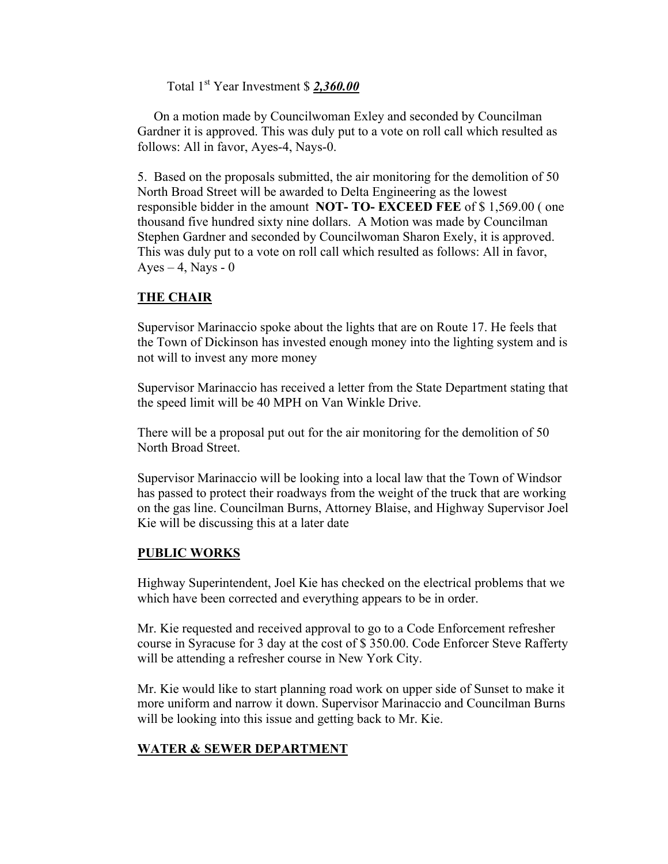Total 1st Year Investment \$ *2,360.00*

 On a motion made by Councilwoman Exley and seconded by Councilman Gardner it is approved. This was duly put to a vote on roll call which resulted as follows: All in favor, Ayes-4, Nays-0.

5. Based on the proposals submitted, the air monitoring for the demolition of 50 North Broad Street will be awarded to Delta Engineering as the lowest responsible bidder in the amount **NOT- TO- EXCEED FEE** of \$ 1,569.00 ( one thousand five hundred sixty nine dollars. A Motion was made by Councilman Stephen Gardner and seconded by Councilwoman Sharon Exely, it is approved. This was duly put to a vote on roll call which resulted as follows: All in favor, Ayes  $-4$ , Nays  $-0$ 

# **THE CHAIR**

Supervisor Marinaccio spoke about the lights that are on Route 17. He feels that the Town of Dickinson has invested enough money into the lighting system and is not will to invest any more money

Supervisor Marinaccio has received a letter from the State Department stating that the speed limit will be 40 MPH on Van Winkle Drive.

There will be a proposal put out for the air monitoring for the demolition of 50 North Broad Street.

Supervisor Marinaccio will be looking into a local law that the Town of Windsor has passed to protect their roadways from the weight of the truck that are working on the gas line. Councilman Burns, Attorney Blaise, and Highway Supervisor Joel Kie will be discussing this at a later date

# **PUBLIC WORKS**

Highway Superintendent, Joel Kie has checked on the electrical problems that we which have been corrected and everything appears to be in order.

Mr. Kie requested and received approval to go to a Code Enforcement refresher course in Syracuse for 3 day at the cost of \$ 350.00. Code Enforcer Steve Rafferty will be attending a refresher course in New York City.

Mr. Kie would like to start planning road work on upper side of Sunset to make it more uniform and narrow it down. Supervisor Marinaccio and Councilman Burns will be looking into this issue and getting back to Mr. Kie.

# **WATER & SEWER DEPARTMENT**